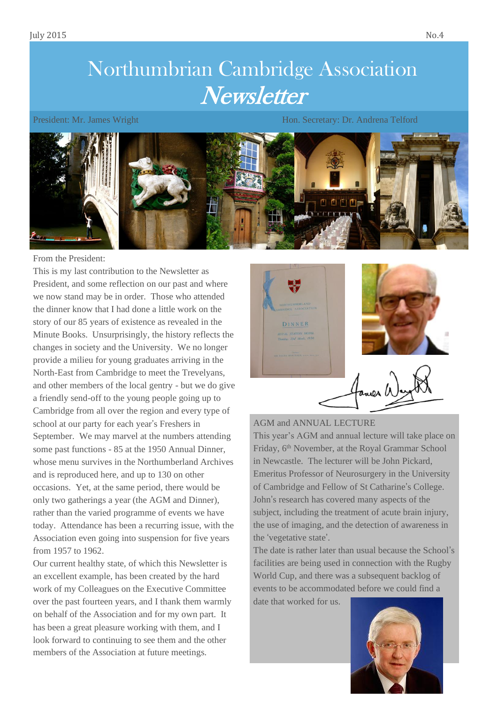# Northumbrian Cambridge Association **Newsletter**

President: Mr. James Wright Hones Hones Hones Hones Hones Hones Hones Hones Hones Hones Hones Hones Hones Hones



From the President:

This is my last contribution to the Newsletter as President, and some reflection on our past and where we now stand may be in order. Those who attended the dinner know that I had done a little work on the story of our 85 years of existence as revealed in the Minute Books. Unsurprisingly, the history reflects the changes in society and the University. We no longer provide a milieu for young graduates arriving in the North-East from Cambridge to meet the Trevelyans, and other members of the local gentry - but we do give a friendly send-off to the young people going up to Cambridge from all over the region and every type of school at our party for each year's Freshers in September. We may marvel at the numbers attending some past functions - 85 at the 1950 Annual Dinner, whose menu survives in the Northumberland Archives and is reproduced here, and up to 130 on other occasions. Yet, at the same period, there would be only two gatherings a year (the AGM and Dinner), rather than the varied programme of events we have today. Attendance has been a recurring issue, with the Association even going into suspension for five years from 1957 to 1962.

Our current healthy state, of which this Newsletter is an excellent example, has been created by the hard work of my Colleagues on the Executive Committee over the past fourteen years, and I thank them warmly on behalf of the Association and for my own part. It has been a great pleasure working with them, and I look forward to continuing to see them and the other members of the Association at future meetings.



## AGM and ANNUAL LECTURE

This year's AGM and annual lecture will take place on Friday, 6<sup>th</sup> November, at the Royal Grammar School in Newcastle. The lecturer will be John Pickard, Emeritus Professor of Neurosurgery in the University of Cambridge and Fellow of St Catharine's College. John's research has covered many aspects of the subject, including the treatment of acute brain injury, the use of imaging, and the detection of awareness in the 'vegetative state'.

The date is rather later than usual because the School's facilities are being used in connection with the Rugby World Cup, and there was a subsequent backlog of events to be accommodated before we could find a

date that worked for us.

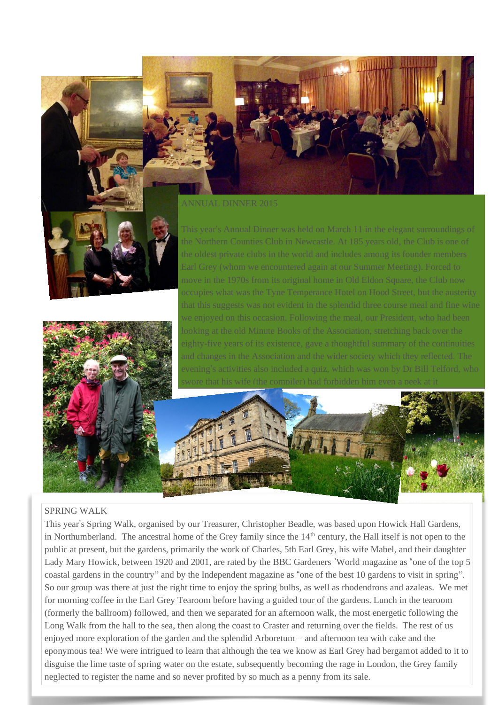



ANNUAL DINNER 2015

This year's Annual Dinner was held on March 11 in the elegant surroundings of the Northern Counties Club in Newcastle. At 185 years old, the Club is one of Earl Grey (whom we encountered again at our Summer Meeting). Forced to move in the 1970s from its original home in Old Eldon Square, the Club now what was the Tyne Temperance Hotel on Hood Street, but the austerity we enjoyed on this occasion. Following the meal, our President, who had been looking at the old Minute Books of the Association, stretching back over the and changes in the Association and the wider society which they reflected. The



#### SPRING WALK

This year's Spring Walk, organised by our Treasurer, Christopher Beadle, was based upon Howick Hall Gardens, in Northumberland. The ancestral home of the Grey family since the 14<sup>th</sup> century, the Hall itself is not open to the public at present, but the gardens, primarily the work of Charles, 5th Earl Grey, his wife Mabel, and their daughter Lady Mary Howick, between 1920 and 2001, are rated by the BBC Gardeners 'World magazine as "one of the top 5 coastal gardens in the country" and by the Independent magazine as "one of the best 10 gardens to visit in spring". So our group was there at just the right time to enjoy the spring bulbs, as well as rhodendrons and azaleas. We met for morning coffee in the Earl Grey Tearoom before having a guided tour of the gardens. Lunch in the tearoom (formerly the ballroom) followed, and then we separated for an afternoon walk, the most energetic following the Long Walk from the hall to the sea, then along the coast to Craster and returning over the fields. The rest of us enjoyed more exploration of the garden and the splendid Arboretum – and afternoon tea with cake and the eponymous tea! We were intrigued to learn that although the tea we know as Earl Grey had bergamot added to it to disguise the lime taste of spring water on the estate, subsequently becoming the rage in London, the Grey family neglected to register the name and so never profited by so much as a penny from its sale.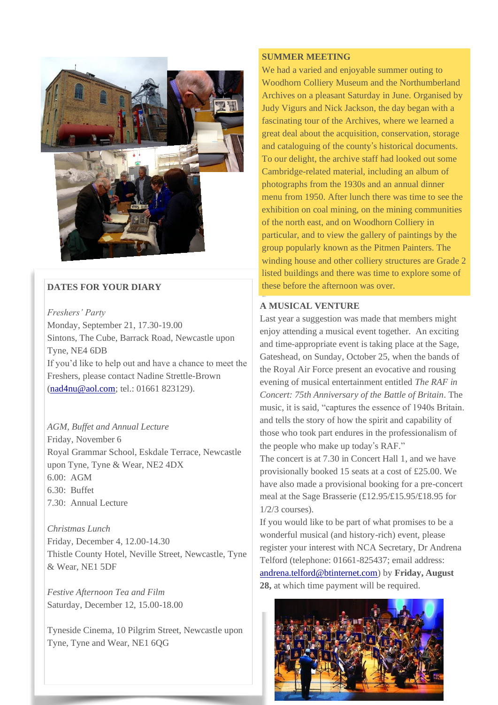

# **DATES FOR YOUR DIARY**

*Freshers' Party* Monday, September 21, 17.30-19.00 Sintons, The Cube, Barrack Road, Newcastle upon Tyne, NE4 6DB If you'd like to help out and have a chance to meet the Freshers, please contact Nadine Strettle-Brown [\(nad4nu@aol.com;](mailto:nad4nu@aol.com) tel.: 01661 823129).

# *AGM, Buffet and Annual Lecture*

Friday, November 6 Royal Grammar School, Eskdale Terrace, Newcastle upon Tyne, Tyne & Wear, NE2 4DX 6.00: AGM 6.30: Buffet 7.30: Annual Lecture

*Christmas Lunch* Friday, December 4, 12.00-14.30 Thistle County Hotel, Neville Street, Newcastle, Tyne & Wear, NE1 5DF

*Festive Afternoon Tea and Film* Saturday, December 12, 15.00-18.00

Tyneside Cinema, 10 Pilgrim Street, Newcastle upon Tyne, Tyne and Wear, NE1 6QG

#### **SUMMER MEETING**

We had a varied and enjoyable summer outing to Woodhorn Colliery Museum and the Northumberland Archives on a pleasant Saturday in June. Organised by Judy Vigurs and Nick Jackson, the day began with a fascinating tour of the Archives, where we learned a great deal about the acquisition, conservation, storage and cataloguing of the county's historical documents. To our delight, the archive staff had looked out some Cambridge-related material, including an album of photographs from the 1930s and an annual dinner menu from 1950. After lunch there was time to see the exhibition on coal mining, on the mining communities of the north east, and on Woodhorn Colliery in particular, and to view the gallery of paintings by the group popularly known as the Pitmen Painters. The winding house and other colliery structures are Grade 2 listed buildings and there was time to explore some of these before the afternoon was over.

#### **A MUSICAL VENTURE**

Last year a suggestion was made that members might enjoy attending a musical event together. An exciting and time-appropriate event is taking place at the Sage, Gateshead, on Sunday, October 25, when the bands of the Royal Air Force present an evocative and rousing evening of musical entertainment entitled *The RAF in Concert: 75th Anniversary of the Battle of Britain*. The music, it is said, "captures the essence of 1940s Britain. and tells the story of how the spirit and capability of those who took part endures in the professionalism of the people who make up today's RAF."

The concert is at 7.30 in Concert Hall 1, and we have provisionally booked 15 seats at a cost of £25.00. We have also made a provisional booking for a pre-concert meal at the Sage Brasserie (£12.95/£15.95/£18.95 for 1/2/3 courses).

If you would like to be part of what promises to be a wonderful musical (and history-rich) event, please register your interest with NCA Secretary, Dr Andrena Telford (telephone: 01661-825437; email address: [andrena.telford@btinternet.com\)](mailto:andrena.telford@btinternet.com) by **Friday, August 28,** at which time payment will be required.